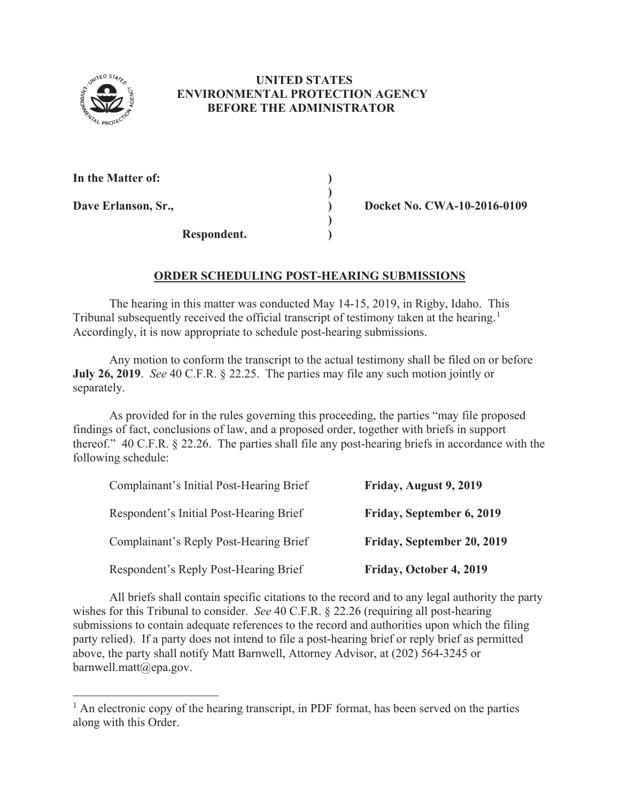

## **UNITED STATES ENVIRONMENTAL PROTECTION AGENCY BEFORE THE ADMINISTRATOR**

| In the Matter of:   |  |
|---------------------|--|
| Dave Erlanson, Sr., |  |
| Respondent.         |  |

**Docket No. CWA-10-2016-0109** 

## **ORDER SCHEDULING POST-HEARING SUBMISSIONS**

The hearing in this matter was conducted May 14-15, 2019, in Rigby, Idaho. This Tribunal subsequently received the official transcript of testimony taken at the hearing.<sup>1</sup> Accordingly, it is now appropriate to schedule post-hearing submissions.

Any motion to conform the transcript to the actual testimony shall be filed on or before **July 26, 2019**. *See* 40 C.F.R. § 22.25. The parties may file any such motion jointly or separately.

As provided for in the rules governing this proceeding, the parties "may file proposed findings of fact, conclusions of law, and a proposed order, together with briefs in support thereof." 40 C.F.R. § 22.26. The parties shall file any post-hearing briefs in accordance with the following schedule:

| Complainant's Initial Post-Hearing Brief | Friday, August 9, 2019     |
|------------------------------------------|----------------------------|
| Respondent's Initial Post-Hearing Brief  | Friday, September 6, 2019  |
| Complainant's Reply Post-Hearing Brief   | Friday, September 20, 2019 |
| Respondent's Reply Post-Hearing Brief    | Friday, October 4, 2019    |

 All briefs shall contain specific citations to the record and to any legal authority the party wishes for this Tribunal to consider. *See* 40 C.F.R. § 22.26 (requiring all post-hearing submissions to contain adequate references to the record and authorities upon which the filing party relied). If a party does not intend to file a post-hearing brief or reply brief as permitted above, the party shall notify Matt Barnwell, Attorney Advisor, at (202) 564-3245 or barnwell.matt@epa.gov.

 $<sup>1</sup>$  An electronic copy of the hearing transcript, in PDF format, has been served on the parties</sup> along with this Order.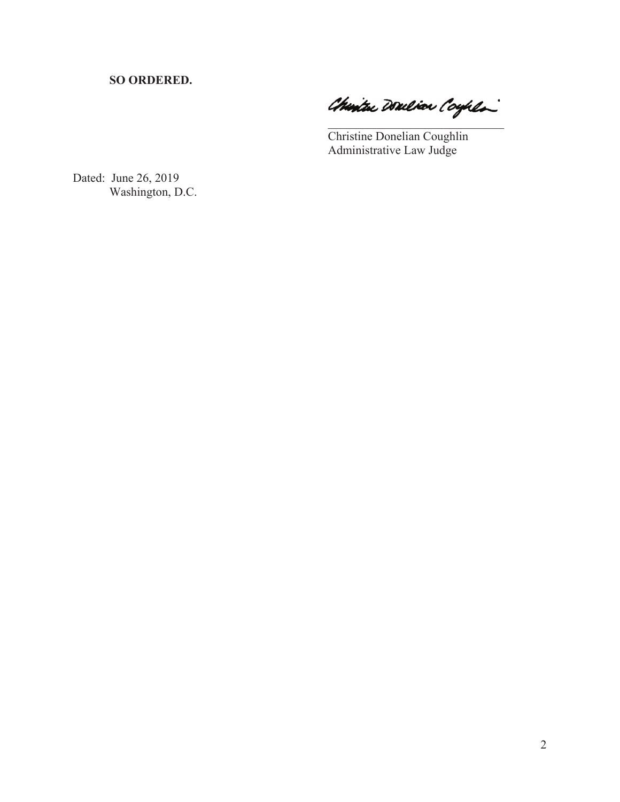**SO ORDERED.**

Churtu Douliar Coyhla

Christine Donelian Coughlin Administrative Law Judge

Dated: June 26, 2019 Washington, D.C.